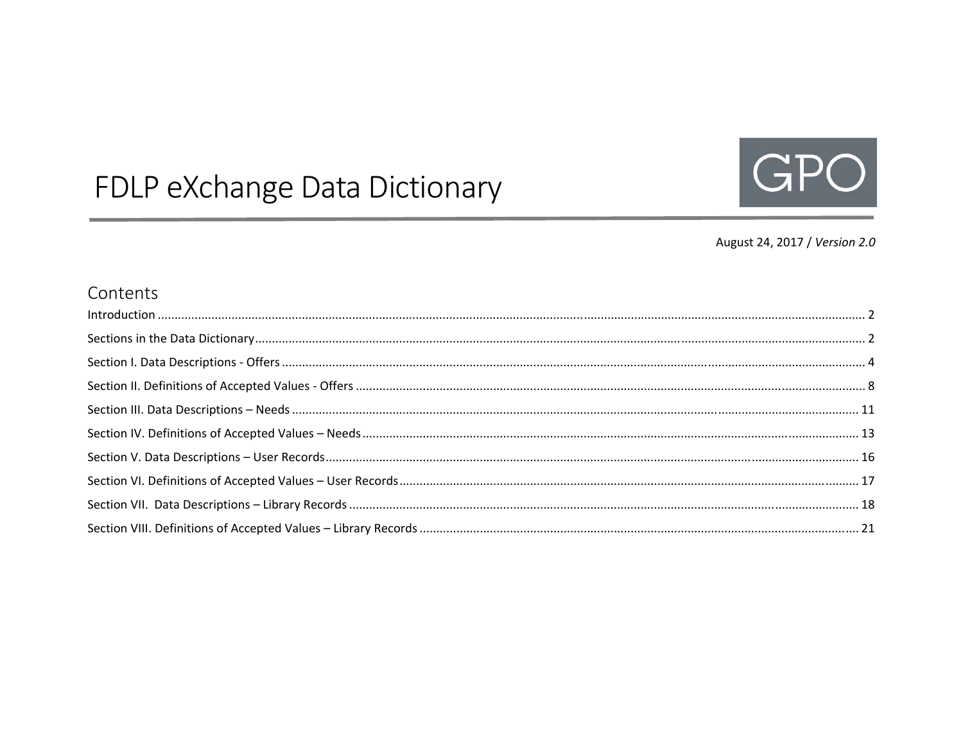# FDLP eXchange Data Dictionary



#### August 24, 2017 / Version 2.0

#### Contents

| $\begin{minipage}[c]{0.5\textwidth} \centering \begin{tabular}[c]{@{}l@{}} \hline \textbf{Introduction} & \textbf{0.5} & \textbf{0.6} \\ \textbf{0.6} & \textbf{0.7} & \textbf{0.8} \\ \textbf{0.7} & \textbf{0.8} & \textbf{0.9} \\ \textbf{0.8} & \textbf{0.9} & \textbf{0.9} \\ \textbf{0.9} & \textbf{0.9} & \textbf{0.9} \\ \textbf{0.9} & \textbf{0.9} & \textbf{0.9} \\ \textbf{0.9} & \textbf{0.9} & \textbf{0.$ |  |
|--------------------------------------------------------------------------------------------------------------------------------------------------------------------------------------------------------------------------------------------------------------------------------------------------------------------------------------------------------------------------------------------------------------------------|--|
|                                                                                                                                                                                                                                                                                                                                                                                                                          |  |
|                                                                                                                                                                                                                                                                                                                                                                                                                          |  |
|                                                                                                                                                                                                                                                                                                                                                                                                                          |  |
|                                                                                                                                                                                                                                                                                                                                                                                                                          |  |
|                                                                                                                                                                                                                                                                                                                                                                                                                          |  |
|                                                                                                                                                                                                                                                                                                                                                                                                                          |  |
|                                                                                                                                                                                                                                                                                                                                                                                                                          |  |
|                                                                                                                                                                                                                                                                                                                                                                                                                          |  |
|                                                                                                                                                                                                                                                                                                                                                                                                                          |  |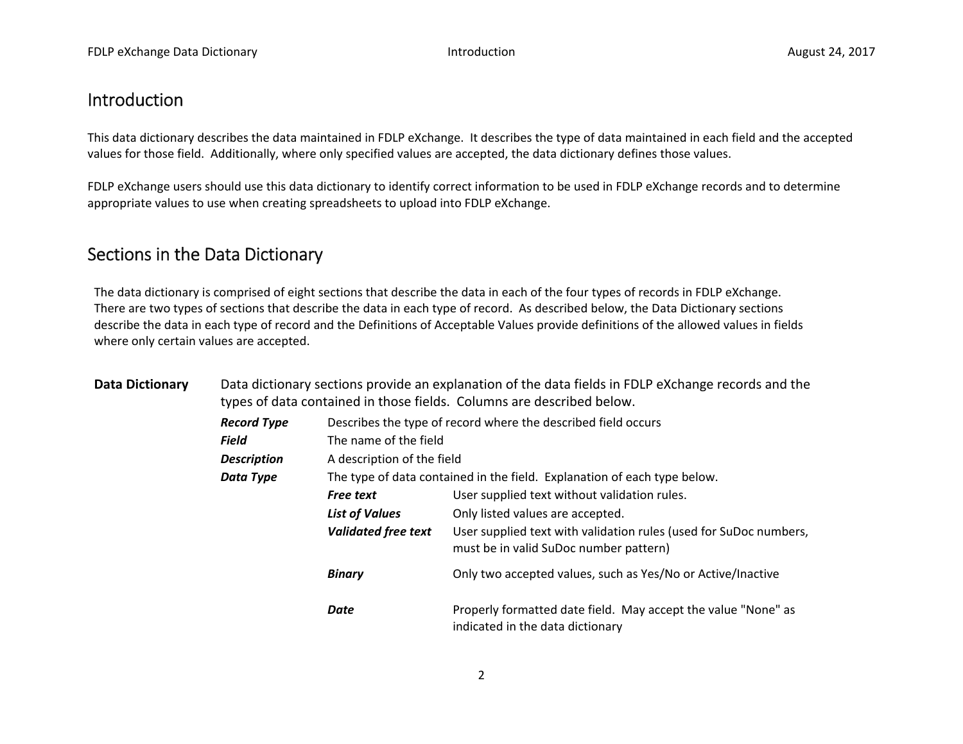#### Introduction

This data dictionary describes the data maintained in FDLP eXchange. It describes the type of data maintained in each field and the accepted values for those field. Additionally, where only specified values are accepted, the data dictionary defines those values.

FDLP eXchange users should use this data dictionary to identify correct information to be used in FDLP eXchange records and to determine appropriate values to use when creating spreadsheets to upload into FDLP eXchange.

#### Sections in the Data Dictionary

The data dictionary is comprised of eight sections that describe the data in each of the four types of records in FDLP eXchange. There are two types of sections that describe the data in each type of record. As described below, the Data Dictionary sections describe the data in each type of record and the Definitions of Acceptable Values provide definitions of the allowed values in fields where only certain values are accepted.

| <b>Data Dictionary</b> | Data dictionary sections provide an explanation of the data fields in FDLP eXchange records and the<br>types of data contained in those fields. Columns are described below. |                                                                          |                                                                                                             |  |  |  |  |  |
|------------------------|------------------------------------------------------------------------------------------------------------------------------------------------------------------------------|--------------------------------------------------------------------------|-------------------------------------------------------------------------------------------------------------|--|--|--|--|--|
|                        | <b>Record Type</b>                                                                                                                                                           | Describes the type of record where the described field occurs            |                                                                                                             |  |  |  |  |  |
|                        | <b>Field</b>                                                                                                                                                                 | The name of the field                                                    |                                                                                                             |  |  |  |  |  |
|                        | <b>Description</b>                                                                                                                                                           | A description of the field                                               |                                                                                                             |  |  |  |  |  |
|                        | Data Type                                                                                                                                                                    | The type of data contained in the field. Explanation of each type below. |                                                                                                             |  |  |  |  |  |
|                        |                                                                                                                                                                              | <b>Free text</b>                                                         | User supplied text without validation rules.                                                                |  |  |  |  |  |
|                        |                                                                                                                                                                              | <b>List of Values</b>                                                    | Only listed values are accepted.                                                                            |  |  |  |  |  |
|                        |                                                                                                                                                                              | <b>Validated free text</b>                                               | User supplied text with validation rules (used for SuDoc numbers,<br>must be in valid SuDoc number pattern) |  |  |  |  |  |
|                        |                                                                                                                                                                              | <b>Binary</b>                                                            | Only two accepted values, such as Yes/No or Active/Inactive                                                 |  |  |  |  |  |
|                        |                                                                                                                                                                              | Date                                                                     | Properly formatted date field. May accept the value "None" as<br>indicated in the data dictionary           |  |  |  |  |  |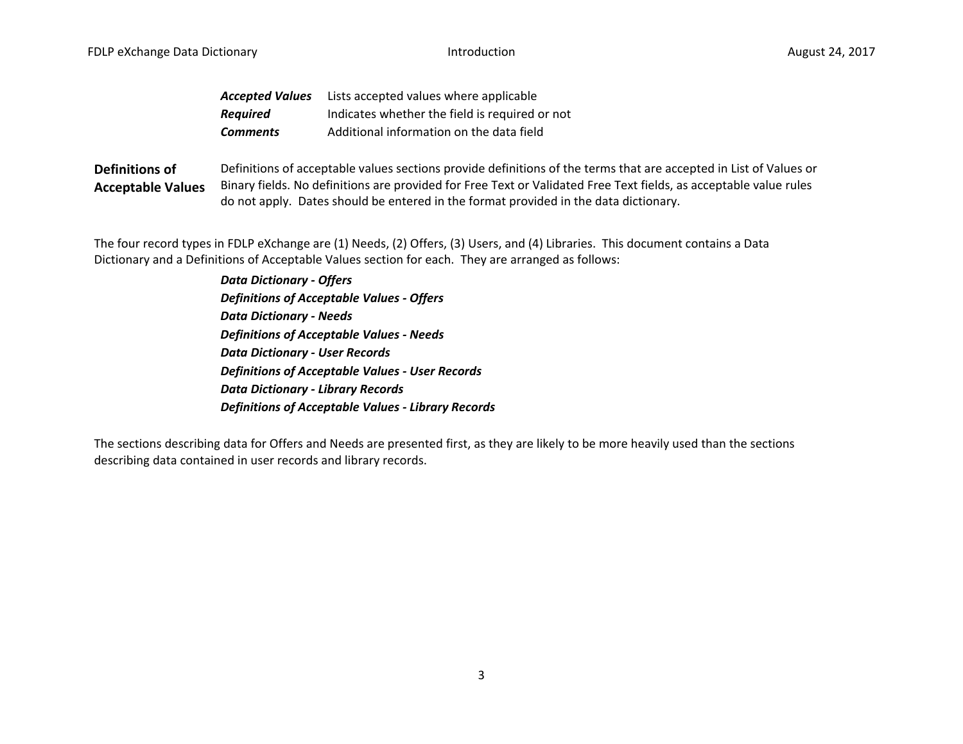| <b>Accepted Values</b> | Lists accepted values where applicable         |
|------------------------|------------------------------------------------|
| <b>Required</b>        | Indicates whether the field is required or not |
| <b>Comments</b>        | Additional information on the data field       |

**Definitions of Acceptable Values** Definitions of acceptable values sections provide definitions of the terms that are accepted in List of Values or Binary fields. No definitions are provided for Free Text or Validated Free Text fields, as acceptable value rules do not apply. Dates should be entered in the format provided in the data dictionary.

The four record types in FDLP eXchange are (1) Needs, (2) Offers, (3) Users, and (4) Libraries. This document contains <sup>a</sup> Data Dictionary and <sup>a</sup> Definitions of Acceptable Values section for each. They are arranged as follows:

> *Data Dictionary ‐ Offers Definitions of Acceptable Values ‐ Offers Data Dictionary ‐ Needs Definitions of Acceptable Values ‐ Needs Data Dictionary ‐ User Records Definitions of Acceptable Values ‐ User Records Data Dictionary ‐ Library Records Definitions of Acceptable Values ‐ Library Records*

The sections describing data for Offers and Needs are presented first, as they are likely to be more heavily used than the sections describing data contained in user records and library records.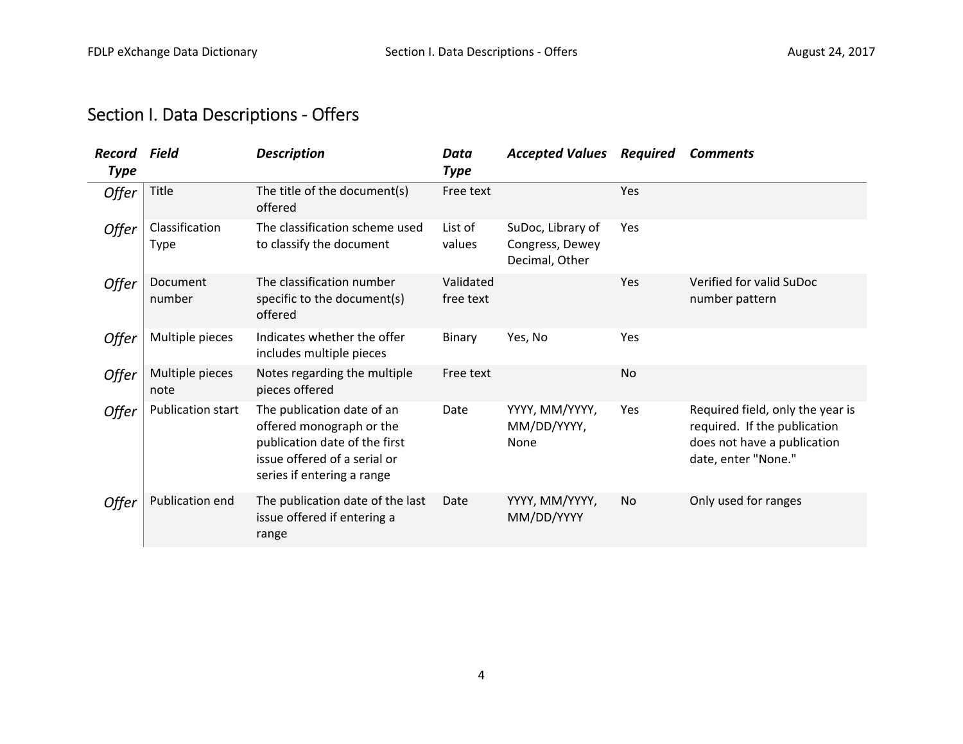## Section I. Data Descriptions ‐ Offers

| Record<br><b>Type</b> | Field                   | <b>Description</b>                                                                                                                                    | Data<br><b>Type</b>    | <b>Accepted Values</b>                                 | <b>Required</b> | <b>Comments</b>                                                                                                        |
|-----------------------|-------------------------|-------------------------------------------------------------------------------------------------------------------------------------------------------|------------------------|--------------------------------------------------------|-----------------|------------------------------------------------------------------------------------------------------------------------|
| Offer                 | Title                   | The title of the document(s)<br>offered                                                                                                               | Free text              |                                                        | Yes             |                                                                                                                        |
| Offer                 | Classification<br>Type  | The classification scheme used<br>to classify the document                                                                                            | List of<br>values      | SuDoc, Library of<br>Congress, Dewey<br>Decimal, Other | Yes             |                                                                                                                        |
| Offer                 | Document<br>number      | The classification number<br>specific to the document(s)<br>offered                                                                                   | Validated<br>free text |                                                        | Yes             | Verified for valid SuDoc<br>number pattern                                                                             |
| Offer                 | Multiple pieces         | Indicates whether the offer<br>includes multiple pieces                                                                                               | Binary                 | Yes, No                                                | Yes             |                                                                                                                        |
| Offer                 | Multiple pieces<br>note | Notes regarding the multiple<br>pieces offered                                                                                                        | Free text              |                                                        | <b>No</b>       |                                                                                                                        |
| Offer                 | Publication start       | The publication date of an<br>offered monograph or the<br>publication date of the first<br>issue offered of a serial or<br>series if entering a range | Date                   | YYYY, MM/YYYY,<br>MM/DD/YYYY,<br>None                  | Yes             | Required field, only the year is<br>required. If the publication<br>does not have a publication<br>date, enter "None." |
| Offer                 | Publication end         | The publication date of the last<br>issue offered if entering a<br>range                                                                              | Date                   | YYYY, MM/YYYY,<br>MM/DD/YYYY                           | <b>No</b>       | Only used for ranges                                                                                                   |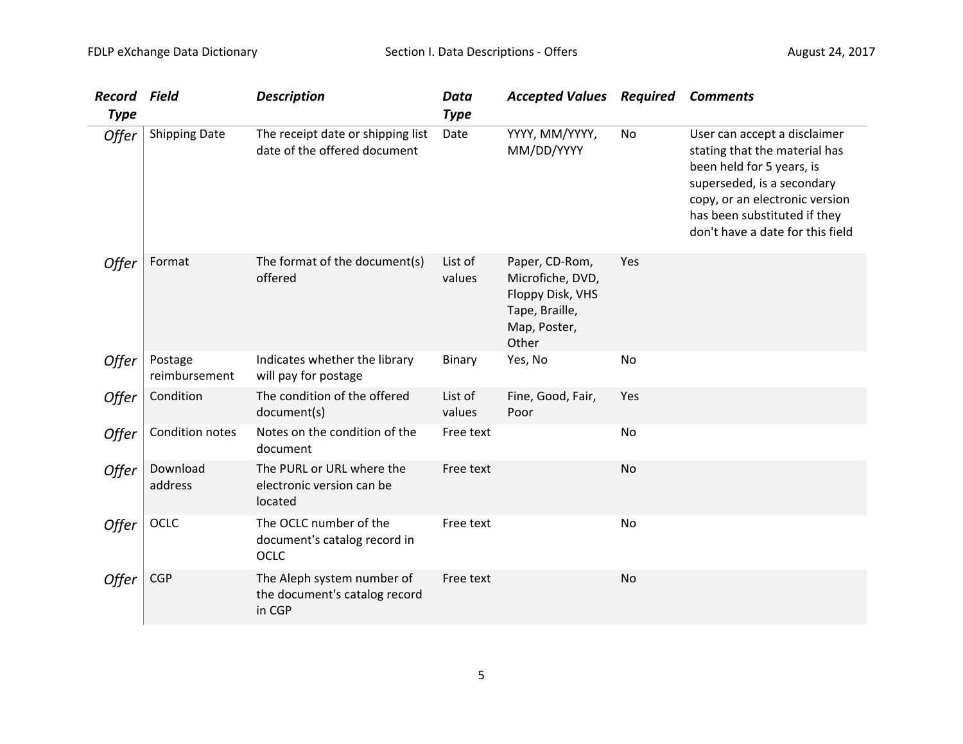| <b>Record</b><br><b>Type</b> | Field                    | <b>Description</b>                                                    | <b>Data</b><br><b>Type</b> | <b>Accepted Values Required</b>                                                                   |           | <b>Comments</b>                                                                                                                                                                                                                |
|------------------------------|--------------------------|-----------------------------------------------------------------------|----------------------------|---------------------------------------------------------------------------------------------------|-----------|--------------------------------------------------------------------------------------------------------------------------------------------------------------------------------------------------------------------------------|
| Offer                        | <b>Shipping Date</b>     | The receipt date or shipping list<br>date of the offered document     | Date                       | YYYY, MM/YYYY,<br>MM/DD/YYYY                                                                      | No        | User can accept a disclaimer<br>stating that the material has<br>been held for 5 years, is<br>superseded, is a secondary<br>copy, or an electronic version<br>has been substituted if they<br>don't have a date for this field |
| Offer                        | Format                   | The format of the document(s)<br>offered                              | List of<br>values          | Paper, CD-Rom,<br>Microfiche, DVD,<br>Floppy Disk, VHS<br>Tape, Braille,<br>Map, Poster,<br>Other | Yes       |                                                                                                                                                                                                                                |
| <i><b>Offer</b></i>          | Postage<br>reimbursement | Indicates whether the library<br>will pay for postage                 | <b>Binary</b>              | Yes, No                                                                                           | No        |                                                                                                                                                                                                                                |
| Offer                        | Condition                | The condition of the offered<br>document(s)                           | List of<br>values          | Fine, Good, Fair,<br>Poor                                                                         | Yes       |                                                                                                                                                                                                                                |
| Offer                        | Condition notes          | Notes on the condition of the<br>document                             | Free text                  |                                                                                                   | No        |                                                                                                                                                                                                                                |
| Offer                        | Download<br>address      | The PURL or URL where the<br>electronic version can be<br>located     | Free text                  |                                                                                                   | <b>No</b> |                                                                                                                                                                                                                                |
| <b>Offer</b>                 | OCLC                     | The OCLC number of the<br>document's catalog record in<br>OCLC        | Free text                  |                                                                                                   | No        |                                                                                                                                                                                                                                |
| <b>Offer</b>                 | <b>CGP</b>               | The Aleph system number of<br>the document's catalog record<br>in CGP | Free text                  |                                                                                                   | No        |                                                                                                                                                                                                                                |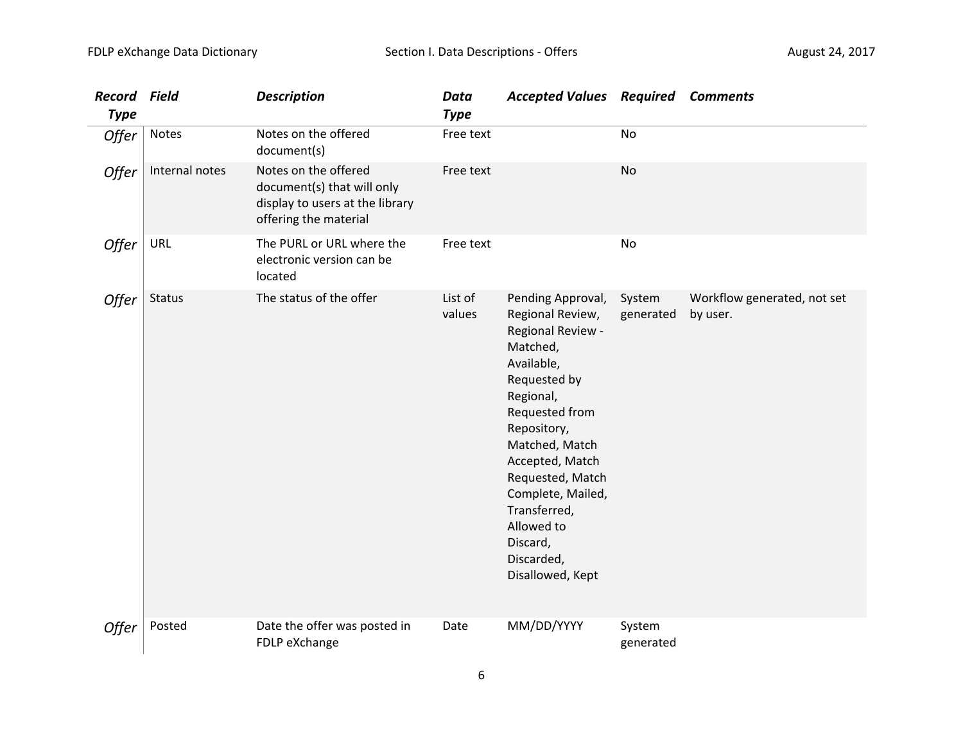| <b>Record Field</b><br><b>Type</b> |                | <b>Description</b>                                                                                             | Data<br><b>Type</b> | <b>Accepted Values Required Comments</b>                                                                                                                                                                                                                                                                     |                     |                                         |
|------------------------------------|----------------|----------------------------------------------------------------------------------------------------------------|---------------------|--------------------------------------------------------------------------------------------------------------------------------------------------------------------------------------------------------------------------------------------------------------------------------------------------------------|---------------------|-----------------------------------------|
| Offer                              | Notes          | Notes on the offered<br>document(s)                                                                            | Free text           |                                                                                                                                                                                                                                                                                                              | <b>No</b>           |                                         |
| Offer                              | Internal notes | Notes on the offered<br>document(s) that will only<br>display to users at the library<br>offering the material | Free text           |                                                                                                                                                                                                                                                                                                              | No                  |                                         |
| Offer                              | URL            | The PURL or URL where the<br>electronic version can be<br>located                                              | Free text           |                                                                                                                                                                                                                                                                                                              | No                  |                                         |
| Offer                              | <b>Status</b>  | The status of the offer                                                                                        | List of<br>values   | Pending Approval,<br>Regional Review,<br>Regional Review -<br>Matched,<br>Available,<br>Requested by<br>Regional,<br>Requested from<br>Repository,<br>Matched, Match<br>Accepted, Match<br>Requested, Match<br>Complete, Mailed,<br>Transferred,<br>Allowed to<br>Discard,<br>Discarded,<br>Disallowed, Kept | System<br>generated | Workflow generated, not set<br>by user. |
| Offer                              | Posted         | Date the offer was posted in<br>FDLP eXchange                                                                  | Date                | MM/DD/YYYY                                                                                                                                                                                                                                                                                                   | System<br>generated |                                         |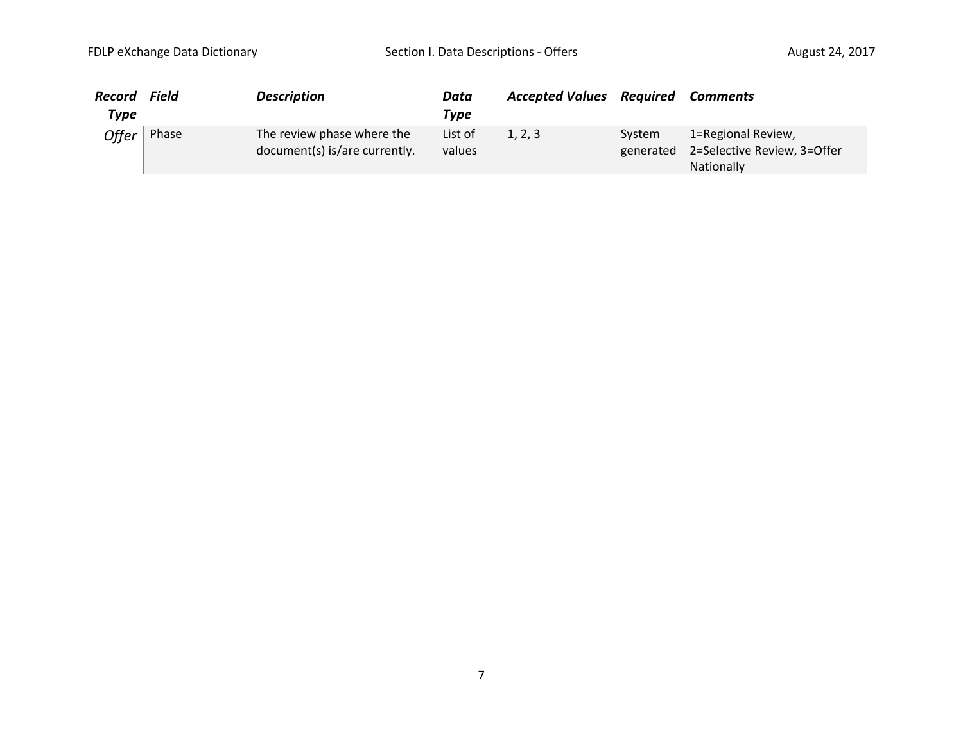| <b>Record</b> | Field | <b>Description</b>                                          | Data              | <b>Accepted Values Required</b> |        | Comments                                                                         |
|---------------|-------|-------------------------------------------------------------|-------------------|---------------------------------|--------|----------------------------------------------------------------------------------|
| Type          |       |                                                             | <b>Type</b>       |                                 |        |                                                                                  |
| Offer         | Phase | The review phase where the<br>document(s) is/are currently. | List of<br>values | 1, 2, 3                         | System | 1=Regional Review,<br>generated 2=Selective Review, 3=Offer<br><b>Nationally</b> |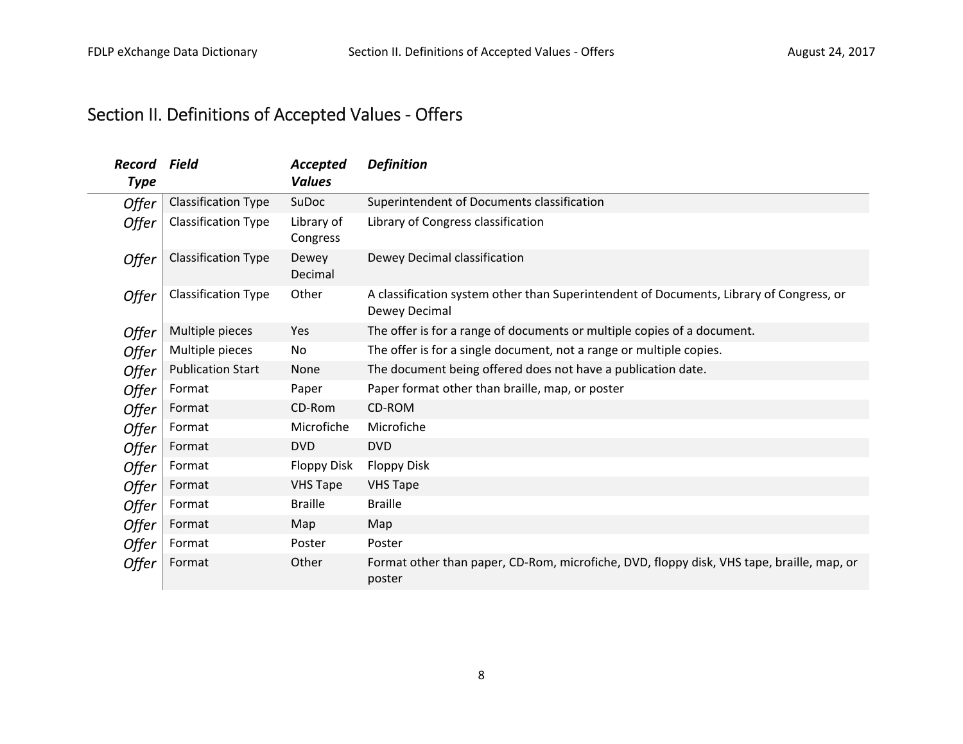## Section II. Definitions of Accepted Values ‐ Offers

| Record<br><b>Type</b> | Field                      | Accepted<br>Values     | <b>Definition</b>                                                                                        |
|-----------------------|----------------------------|------------------------|----------------------------------------------------------------------------------------------------------|
| Offer                 | <b>Classification Type</b> | SuDoc                  | Superintendent of Documents classification                                                               |
| Offer                 | Classification Type        | Library of<br>Congress | Library of Congress classification                                                                       |
| Offer                 | Classification Type        | Dewey<br>Decimal       | Dewey Decimal classification                                                                             |
| Offer                 | Classification Type        | Other                  | A classification system other than Superintendent of Documents, Library of Congress, or<br>Dewey Decimal |
| Offer                 | Multiple pieces            | Yes                    | The offer is for a range of documents or multiple copies of a document.                                  |
| Offer                 | Multiple pieces            | No                     | The offer is for a single document, not a range or multiple copies.                                      |
| Offer                 | <b>Publication Start</b>   | None                   | The document being offered does not have a publication date.                                             |
| Offer                 | Format                     | Paper                  | Paper format other than braille, map, or poster                                                          |
| Offer                 | Format                     | CD-Rom                 | CD-ROM                                                                                                   |
| Offer                 | Format                     | Microfiche             | Microfiche                                                                                               |
| Offer                 | Format                     | <b>DVD</b>             | <b>DVD</b>                                                                                               |
| Offer                 | Format                     | <b>Floppy Disk</b>     | <b>Floppy Disk</b>                                                                                       |
| Offer                 | Format                     | <b>VHS Tape</b>        | <b>VHS Tape</b>                                                                                          |
| Offer                 | Format                     | <b>Braille</b>         | <b>Braille</b>                                                                                           |
| Offer                 | Format                     | Map                    | Map                                                                                                      |
| Offer                 | Format                     | Poster                 | Poster                                                                                                   |
| Offer                 | Format                     | Other                  | Format other than paper, CD-Rom, microfiche, DVD, floppy disk, VHS tape, braille, map, or<br>poster      |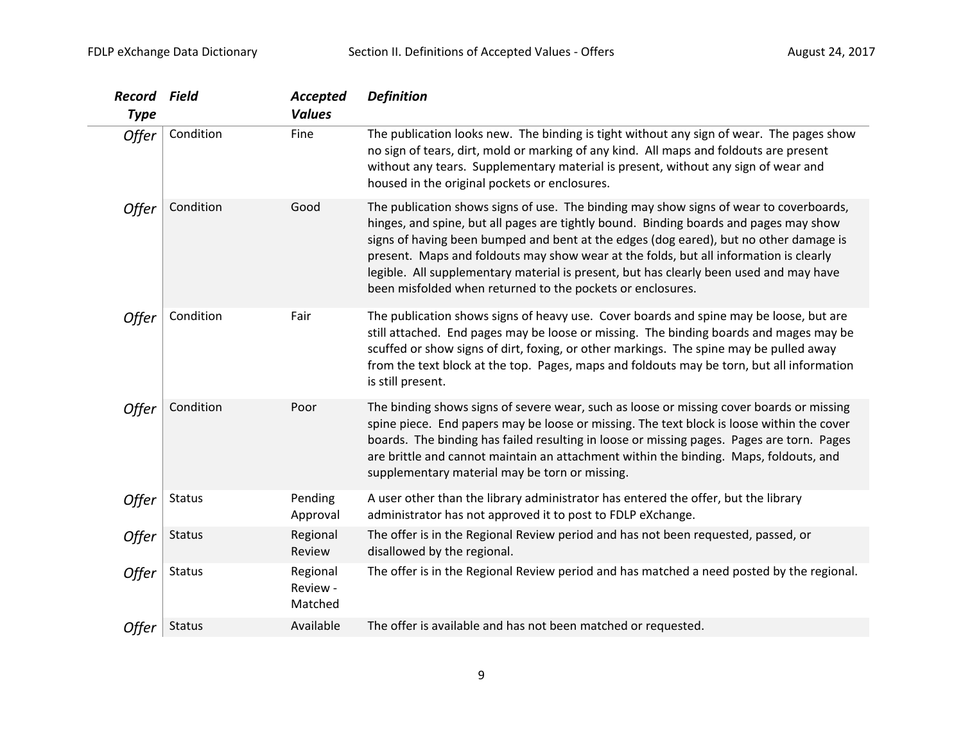| Record<br><b>Type</b> | Field         | Accepted<br><b>Values</b>       | <b>Definition</b>                                                                                                                                                                                                                                                                                                                                                                                                                                                                                                         |
|-----------------------|---------------|---------------------------------|---------------------------------------------------------------------------------------------------------------------------------------------------------------------------------------------------------------------------------------------------------------------------------------------------------------------------------------------------------------------------------------------------------------------------------------------------------------------------------------------------------------------------|
| Offer                 | Condition     | Fine                            | The publication looks new. The binding is tight without any sign of wear. The pages show<br>no sign of tears, dirt, mold or marking of any kind. All maps and foldouts are present<br>without any tears. Supplementary material is present, without any sign of wear and<br>housed in the original pockets or enclosures.                                                                                                                                                                                                 |
| Offer                 | Condition     | Good                            | The publication shows signs of use. The binding may show signs of wear to coverboards,<br>hinges, and spine, but all pages are tightly bound. Binding boards and pages may show<br>signs of having been bumped and bent at the edges (dog eared), but no other damage is<br>present. Maps and foldouts may show wear at the folds, but all information is clearly<br>legible. All supplementary material is present, but has clearly been used and may have<br>been misfolded when returned to the pockets or enclosures. |
| Offer                 | Condition     | Fair                            | The publication shows signs of heavy use. Cover boards and spine may be loose, but are<br>still attached. End pages may be loose or missing. The binding boards and mages may be<br>scuffed or show signs of dirt, foxing, or other markings. The spine may be pulled away<br>from the text block at the top. Pages, maps and foldouts may be torn, but all information<br>is still present.                                                                                                                              |
| Offer                 | Condition     | Poor                            | The binding shows signs of severe wear, such as loose or missing cover boards or missing<br>spine piece. End papers may be loose or missing. The text block is loose within the cover<br>boards. The binding has failed resulting in loose or missing pages. Pages are torn. Pages<br>are brittle and cannot maintain an attachment within the binding. Maps, foldouts, and<br>supplementary material may be torn or missing.                                                                                             |
| Offer                 | <b>Status</b> | Pending<br>Approval             | A user other than the library administrator has entered the offer, but the library<br>administrator has not approved it to post to FDLP eXchange.                                                                                                                                                                                                                                                                                                                                                                         |
| Offer                 | <b>Status</b> | Regional<br>Review              | The offer is in the Regional Review period and has not been requested, passed, or<br>disallowed by the regional.                                                                                                                                                                                                                                                                                                                                                                                                          |
| Offer                 | Status        | Regional<br>Review -<br>Matched | The offer is in the Regional Review period and has matched a need posted by the regional.                                                                                                                                                                                                                                                                                                                                                                                                                                 |
| Offer                 | <b>Status</b> | Available                       | The offer is available and has not been matched or requested.                                                                                                                                                                                                                                                                                                                                                                                                                                                             |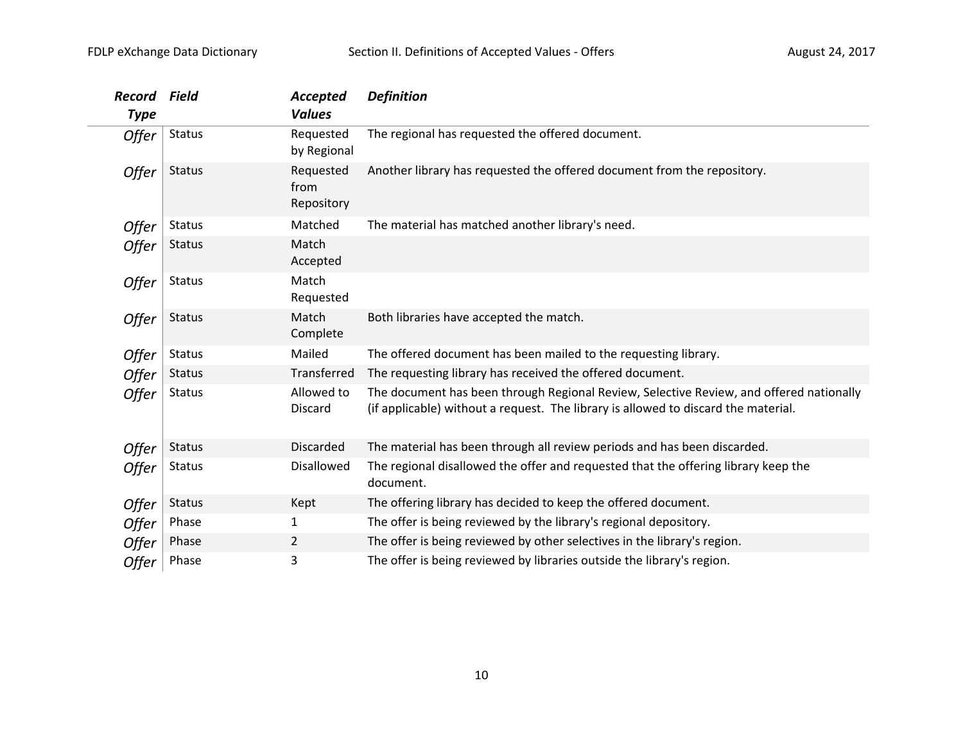| <b>Record</b><br><b>Type</b> | Field         | Accepted<br><b>Values</b>       | <b>Definition</b>                                                                                                                                                             |
|------------------------------|---------------|---------------------------------|-------------------------------------------------------------------------------------------------------------------------------------------------------------------------------|
| <b>Offer</b>                 | <b>Status</b> | Requested<br>by Regional        | The regional has requested the offered document.                                                                                                                              |
| Offer                        | <b>Status</b> | Requested<br>from<br>Repository | Another library has requested the offered document from the repository.                                                                                                       |
| Offer                        | <b>Status</b> | Matched                         | The material has matched another library's need.                                                                                                                              |
| Offer                        | <b>Status</b> | Match<br>Accepted               |                                                                                                                                                                               |
| Offer                        | <b>Status</b> | Match<br>Requested              |                                                                                                                                                                               |
| Offer                        | <b>Status</b> | Match<br>Complete               | Both libraries have accepted the match.                                                                                                                                       |
| Offer                        | <b>Status</b> | Mailed                          | The offered document has been mailed to the requesting library.                                                                                                               |
| Offer                        | <b>Status</b> | Transferred                     | The requesting library has received the offered document.                                                                                                                     |
| Offer                        | <b>Status</b> | Allowed to<br><b>Discard</b>    | The document has been through Regional Review, Selective Review, and offered nationally<br>(if applicable) without a request. The library is allowed to discard the material. |
| Offer                        | <b>Status</b> | <b>Discarded</b>                | The material has been through all review periods and has been discarded.                                                                                                      |
| Offer                        | <b>Status</b> | Disallowed                      | The regional disallowed the offer and requested that the offering library keep the<br>document.                                                                               |
| Offer                        | <b>Status</b> | Kept                            | The offering library has decided to keep the offered document.                                                                                                                |
| <b>Offer</b>                 | Phase         | 1                               | The offer is being reviewed by the library's regional depository.                                                                                                             |
| <b>Offer</b>                 | Phase         | 2                               | The offer is being reviewed by other selectives in the library's region.                                                                                                      |
| Offer                        | Phase         | 3                               | The offer is being reviewed by libraries outside the library's region.                                                                                                        |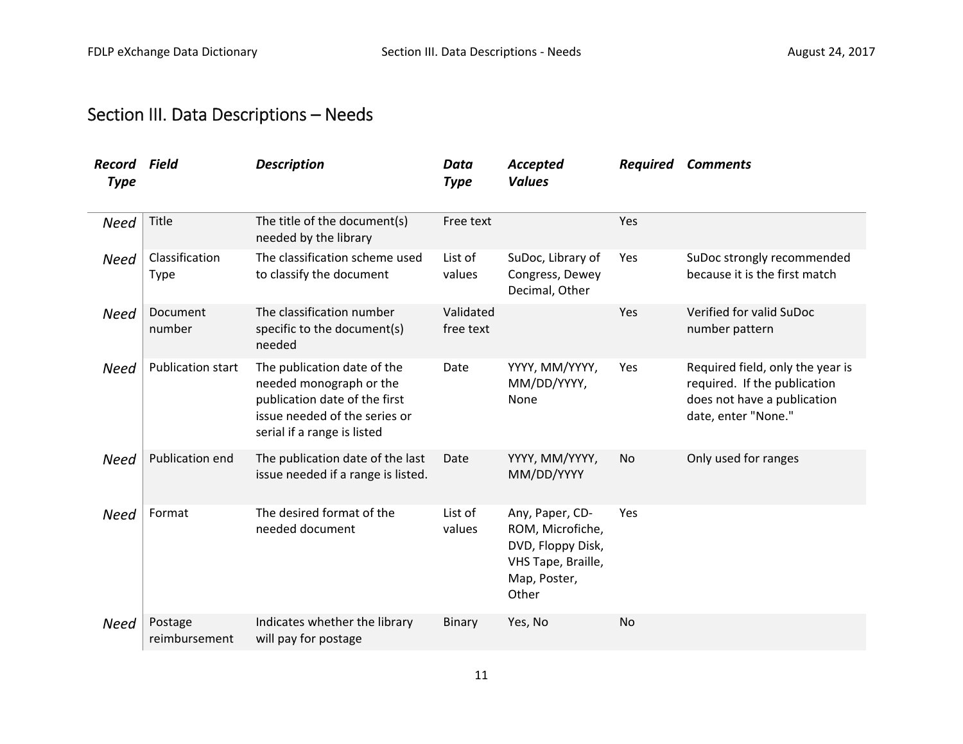## Section III. Data Descriptions – Needs

| Record<br><b>Type</b> | Field                         | <b>Description</b>                                                                                                                                      | Data<br>Accepted<br><b>Values</b><br><b>Type</b> |                                                                                                         |           | <b>Required Comments</b>                                                                                               |
|-----------------------|-------------------------------|---------------------------------------------------------------------------------------------------------------------------------------------------------|--------------------------------------------------|---------------------------------------------------------------------------------------------------------|-----------|------------------------------------------------------------------------------------------------------------------------|
| <b>Need</b>           | <b>Title</b>                  | The title of the document(s)<br>needed by the library                                                                                                   | Free text                                        |                                                                                                         | Yes       |                                                                                                                        |
| <b>Need</b>           | Classification<br><b>Type</b> | The classification scheme used<br>to classify the document                                                                                              | List of<br>values                                | SuDoc, Library of<br>Congress, Dewey<br>Decimal, Other                                                  | Yes       | SuDoc strongly recommended<br>because it is the first match                                                            |
| <b>Need</b>           | Document<br>number            | The classification number<br>specific to the document(s)<br>needed                                                                                      | Validated<br>free text                           |                                                                                                         | Yes       | Verified for valid SuDoc<br>number pattern                                                                             |
| <b>Need</b>           | <b>Publication start</b>      | The publication date of the<br>needed monograph or the<br>publication date of the first<br>issue needed of the series or<br>serial if a range is listed | Date                                             | YYYY, MM/YYYY,<br>MM/DD/YYYY,<br>None                                                                   | Yes       | Required field, only the year is<br>required. If the publication<br>does not have a publication<br>date, enter "None." |
| <b>Need</b>           | Publication end               | The publication date of the last<br>issue needed if a range is listed.                                                                                  | Date                                             | YYYY, MM/YYYY,<br>MM/DD/YYYY                                                                            | No        | Only used for ranges                                                                                                   |
| <b>Need</b>           | Format                        | The desired format of the<br>needed document                                                                                                            | List of<br>values                                | Any, Paper, CD-<br>ROM, Microfiche,<br>DVD, Floppy Disk,<br>VHS Tape, Braille,<br>Map, Poster,<br>Other | Yes       |                                                                                                                        |
| <b>Need</b>           | Postage<br>reimbursement      | Indicates whether the library<br>will pay for postage                                                                                                   | Binary                                           | Yes, No                                                                                                 | <b>No</b> |                                                                                                                        |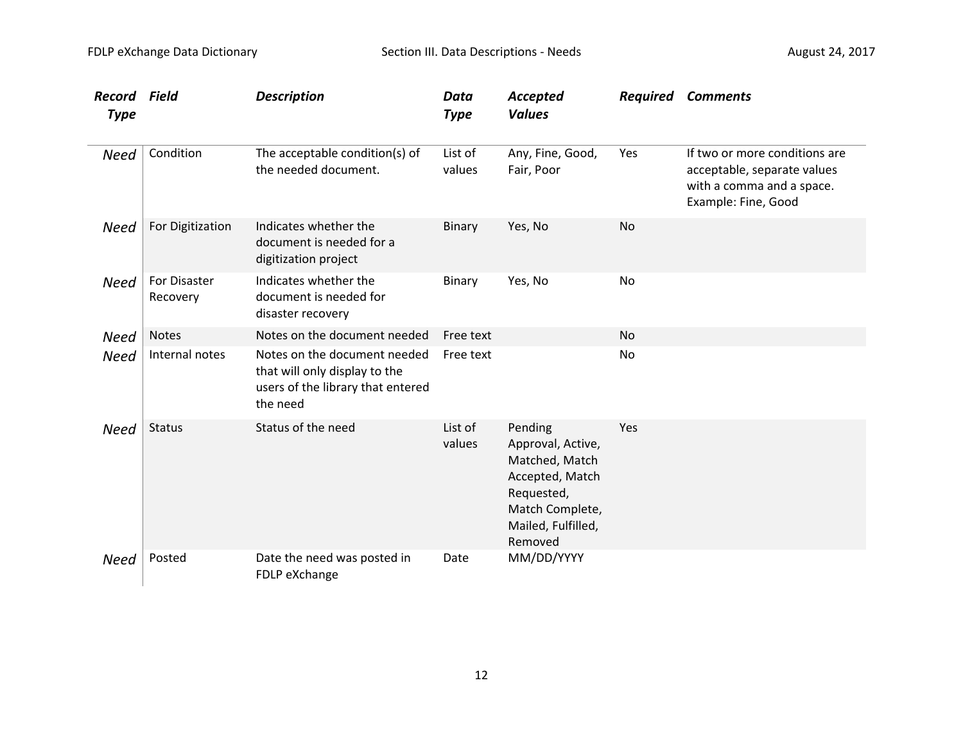| <b>Record Field</b><br><b>Type</b> |                                 | <b>Description</b>                                                                                             | <b>Data</b><br><b>Type</b> | Accepted<br><b>Values</b>                                                                                                           |           | <b>Required Comments</b>                                                                                         |
|------------------------------------|---------------------------------|----------------------------------------------------------------------------------------------------------------|----------------------------|-------------------------------------------------------------------------------------------------------------------------------------|-----------|------------------------------------------------------------------------------------------------------------------|
| <b>Need</b>                        | Condition                       | The acceptable condition(s) of<br>the needed document.                                                         | List of<br>values          | Any, Fine, Good,<br>Fair, Poor                                                                                                      | Yes       | If two or more conditions are<br>acceptable, separate values<br>with a comma and a space.<br>Example: Fine, Good |
| <b>Need</b>                        | For Digitization                | Indicates whether the<br>document is needed for a<br>digitization project                                      | Binary                     | Yes, No                                                                                                                             | <b>No</b> |                                                                                                                  |
| <b>Need</b>                        | <b>For Disaster</b><br>Recovery | Indicates whether the<br>document is needed for<br>disaster recovery                                           | Binary                     | Yes, No                                                                                                                             | No        |                                                                                                                  |
| <b>Need</b>                        | <b>Notes</b>                    | Notes on the document needed                                                                                   | Free text                  |                                                                                                                                     | <b>No</b> |                                                                                                                  |
| <b>Need</b>                        | Internal notes                  | Notes on the document needed<br>that will only display to the<br>users of the library that entered<br>the need | Free text                  |                                                                                                                                     | No        |                                                                                                                  |
| <b>Need</b>                        | <b>Status</b>                   | Status of the need                                                                                             | List of<br>values          | Pending<br>Approval, Active,<br>Matched, Match<br>Accepted, Match<br>Requested,<br>Match Complete,<br>Mailed, Fulfilled,<br>Removed | Yes       |                                                                                                                  |
| <b>Need</b>                        | Posted                          | Date the need was posted in<br>FDLP eXchange                                                                   | Date                       | MM/DD/YYYY                                                                                                                          |           |                                                                                                                  |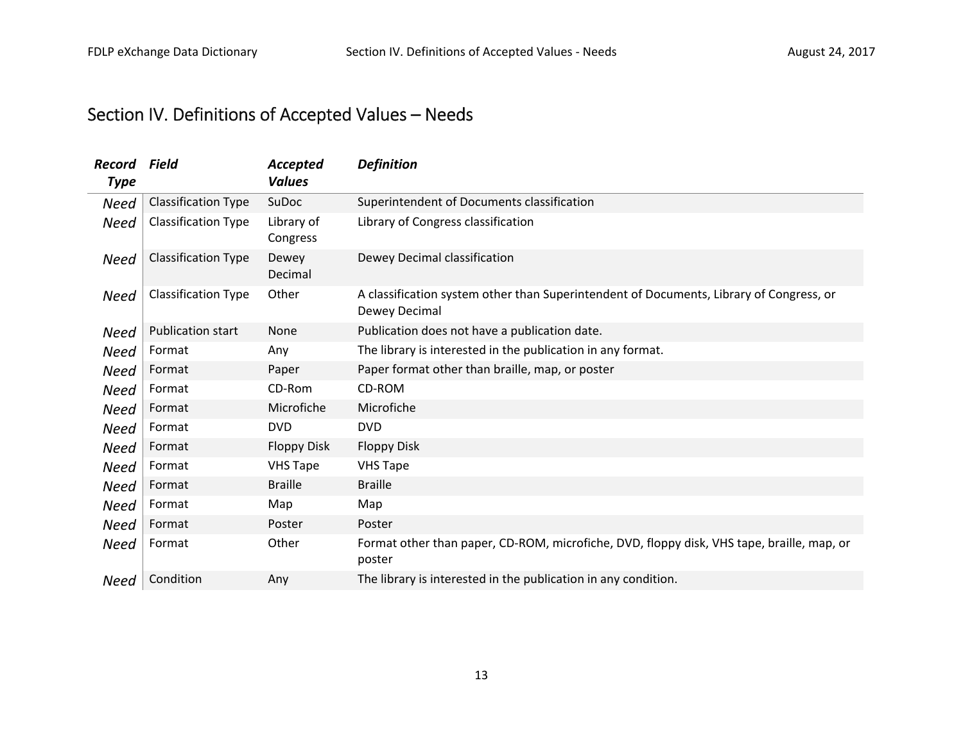## Section IV. Definitions of Accepted Values – Needs

| Record<br><b>Type</b> | Field                      | Accepted<br><b>Values</b> | <b>Definition</b>                                                                                        |
|-----------------------|----------------------------|---------------------------|----------------------------------------------------------------------------------------------------------|
| Need                  | <b>Classification Type</b> | SuDoc                     | Superintendent of Documents classification                                                               |
| Need                  | Classification Type        | Library of<br>Congress    | Library of Congress classification                                                                       |
| Need                  | <b>Classification Type</b> | Dewey<br>Decimal          | Dewey Decimal classification                                                                             |
| <b>Need</b>           | <b>Classification Type</b> | Other                     | A classification system other than Superintendent of Documents, Library of Congress, or<br>Dewey Decimal |
| <b>Need</b>           | <b>Publication start</b>   | <b>None</b>               | Publication does not have a publication date.                                                            |
| Need                  | Format                     | Any                       | The library is interested in the publication in any format.                                              |
| <b>Need</b>           | Format                     | Paper                     | Paper format other than braille, map, or poster                                                          |
| Need                  | Format                     | CD-Rom                    | CD-ROM                                                                                                   |
| <b>Need</b>           | Format                     | Microfiche                | Microfiche                                                                                               |
| Need                  | Format                     | <b>DVD</b>                | <b>DVD</b>                                                                                               |
| Need                  | Format                     | <b>Floppy Disk</b>        | <b>Floppy Disk</b>                                                                                       |
| Need                  | Format                     | <b>VHS Tape</b>           | <b>VHS Tape</b>                                                                                          |
| Need                  | Format                     | <b>Braille</b>            | <b>Braille</b>                                                                                           |
| Need                  | Format                     | Map                       | Map                                                                                                      |
| Need                  | Format                     | Poster                    | Poster                                                                                                   |
| <b>Need</b>           | Format                     | Other                     | Format other than paper, CD-ROM, microfiche, DVD, floppy disk, VHS tape, braille, map, or<br>poster      |
| Need                  | Condition                  | Any                       | The library is interested in the publication in any condition.                                           |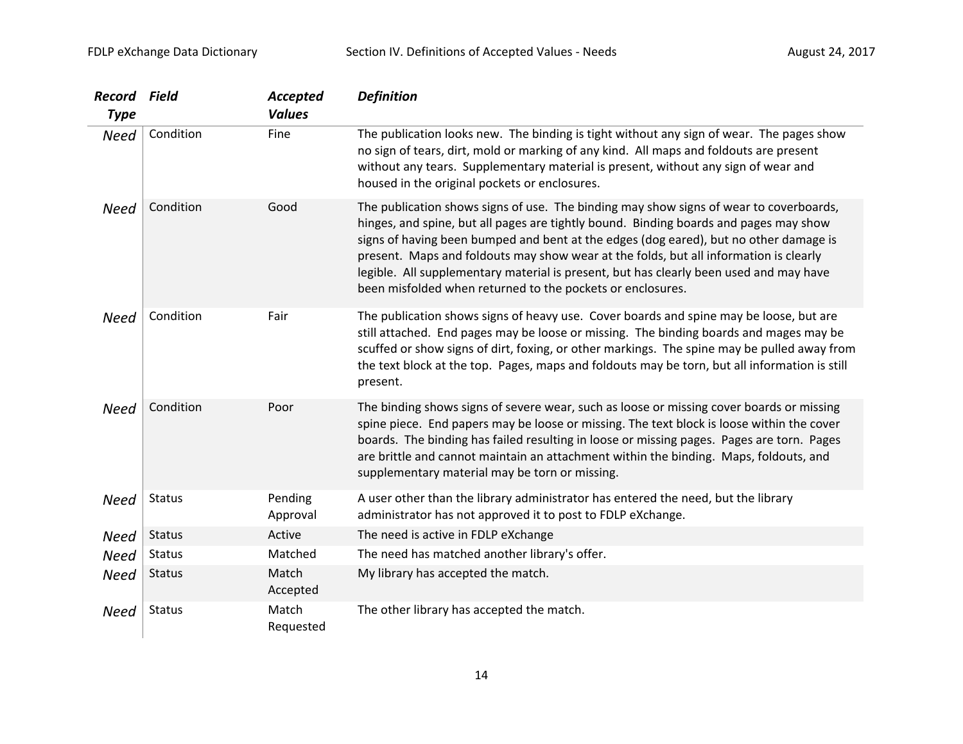| <b>Record Field</b><br><b>Type</b> |               | Accepted<br><b>Values</b> | <b>Definition</b>                                                                                                                                                                                                                                                                                                                                                                                                                                                                                                         |
|------------------------------------|---------------|---------------------------|---------------------------------------------------------------------------------------------------------------------------------------------------------------------------------------------------------------------------------------------------------------------------------------------------------------------------------------------------------------------------------------------------------------------------------------------------------------------------------------------------------------------------|
| <b>Need</b>                        | Condition     | Fine                      | The publication looks new. The binding is tight without any sign of wear. The pages show<br>no sign of tears, dirt, mold or marking of any kind. All maps and foldouts are present<br>without any tears. Supplementary material is present, without any sign of wear and<br>housed in the original pockets or enclosures.                                                                                                                                                                                                 |
| <b>Need</b>                        | Condition     | Good                      | The publication shows signs of use. The binding may show signs of wear to coverboards,<br>hinges, and spine, but all pages are tightly bound. Binding boards and pages may show<br>signs of having been bumped and bent at the edges (dog eared), but no other damage is<br>present. Maps and foldouts may show wear at the folds, but all information is clearly<br>legible. All supplementary material is present, but has clearly been used and may have<br>been misfolded when returned to the pockets or enclosures. |
| <b>Need</b>                        | Condition     | Fair                      | The publication shows signs of heavy use. Cover boards and spine may be loose, but are<br>still attached. End pages may be loose or missing. The binding boards and mages may be<br>scuffed or show signs of dirt, foxing, or other markings. The spine may be pulled away from<br>the text block at the top. Pages, maps and foldouts may be torn, but all information is still<br>present.                                                                                                                              |
| <b>Need</b>                        | Condition     | Poor                      | The binding shows signs of severe wear, such as loose or missing cover boards or missing<br>spine piece. End papers may be loose or missing. The text block is loose within the cover<br>boards. The binding has failed resulting in loose or missing pages. Pages are torn. Pages<br>are brittle and cannot maintain an attachment within the binding. Maps, foldouts, and<br>supplementary material may be torn or missing.                                                                                             |
| <b>Need</b>                        | <b>Status</b> | Pending<br>Approval       | A user other than the library administrator has entered the need, but the library<br>administrator has not approved it to post to FDLP eXchange.                                                                                                                                                                                                                                                                                                                                                                          |
| <b>Need</b>                        | <b>Status</b> | Active                    | The need is active in FDLP eXchange                                                                                                                                                                                                                                                                                                                                                                                                                                                                                       |
| <b>Need</b>                        | <b>Status</b> | Matched                   | The need has matched another library's offer.                                                                                                                                                                                                                                                                                                                                                                                                                                                                             |
| <b>Need</b>                        | <b>Status</b> | Match<br>Accepted         | My library has accepted the match.                                                                                                                                                                                                                                                                                                                                                                                                                                                                                        |
| <b>Need</b>                        | <b>Status</b> | Match<br>Requested        | The other library has accepted the match.                                                                                                                                                                                                                                                                                                                                                                                                                                                                                 |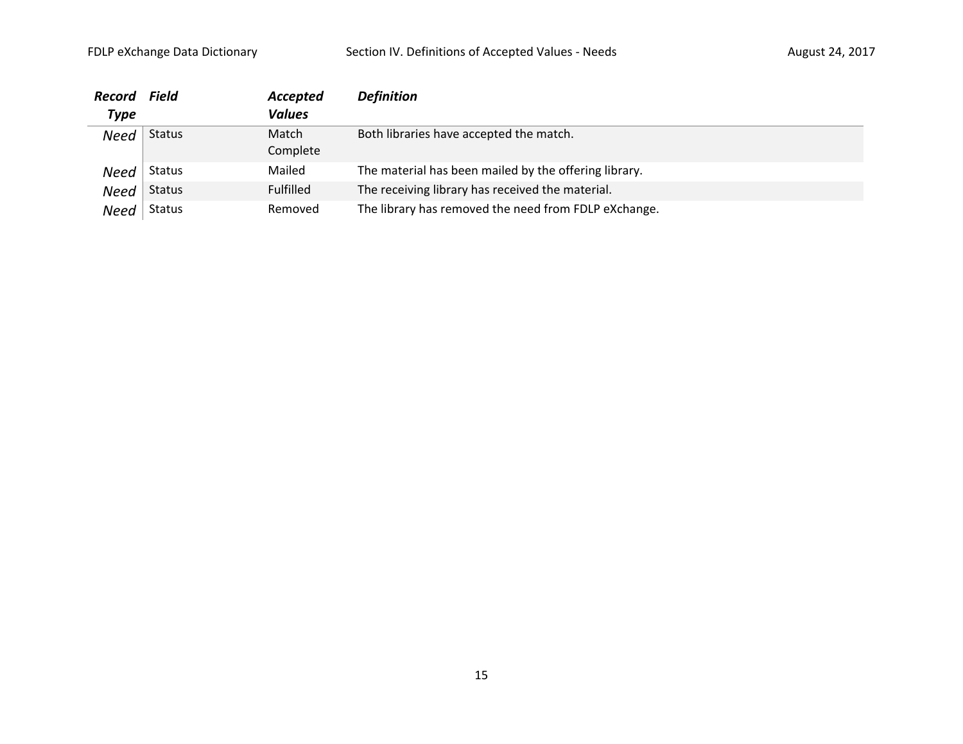| <b>Record</b> | <b>Field</b>  | Accepted         | <b>Definition</b>                                     |
|---------------|---------------|------------------|-------------------------------------------------------|
| Type          |               | <b>Values</b>    |                                                       |
| <b>Need</b>   | <b>Status</b> | Match            | Both libraries have accepted the match.               |
|               |               | Complete         |                                                       |
| Need          | <b>Status</b> | Mailed           | The material has been mailed by the offering library. |
| Need          | <b>Status</b> | <b>Fulfilled</b> | The receiving library has received the material.      |
| Need          | Status        | Removed          | The library has removed the need from FDLP eXchange.  |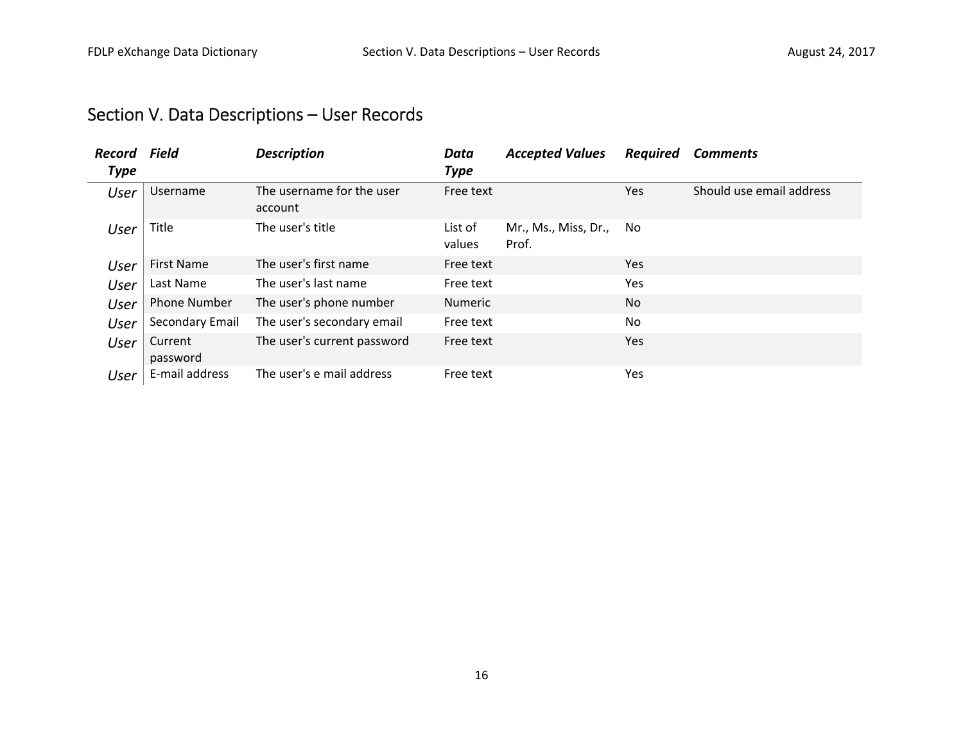## Section V. Data Descriptions – User Records

| Record<br>Type | <b>Field</b>        | <b>Description</b>                   | Data<br><b>Type</b> | <b>Accepted Values</b>        | <b>Required</b> | <b>Comments</b>          |
|----------------|---------------------|--------------------------------------|---------------------|-------------------------------|-----------------|--------------------------|
| User           | Username            | The username for the user<br>account | Free text           |                               | Yes             | Should use email address |
| User           | Title               | The user's title                     | List of<br>values   | Mr., Ms., Miss, Dr.,<br>Prof. | No.             |                          |
| User           | <b>First Name</b>   | The user's first name                | Free text           |                               | Yes             |                          |
| User           | Last Name           | The user's last name                 | Free text           |                               | Yes             |                          |
| User           | <b>Phone Number</b> | The user's phone number              | <b>Numeric</b>      |                               | No.             |                          |
| User           | Secondary Email     | The user's secondary email           | Free text           |                               | <b>No</b>       |                          |
| User           | Current<br>password | The user's current password          | Free text           |                               | Yes             |                          |
| User           | E-mail address      | The user's e mail address            | Free text           |                               | Yes             |                          |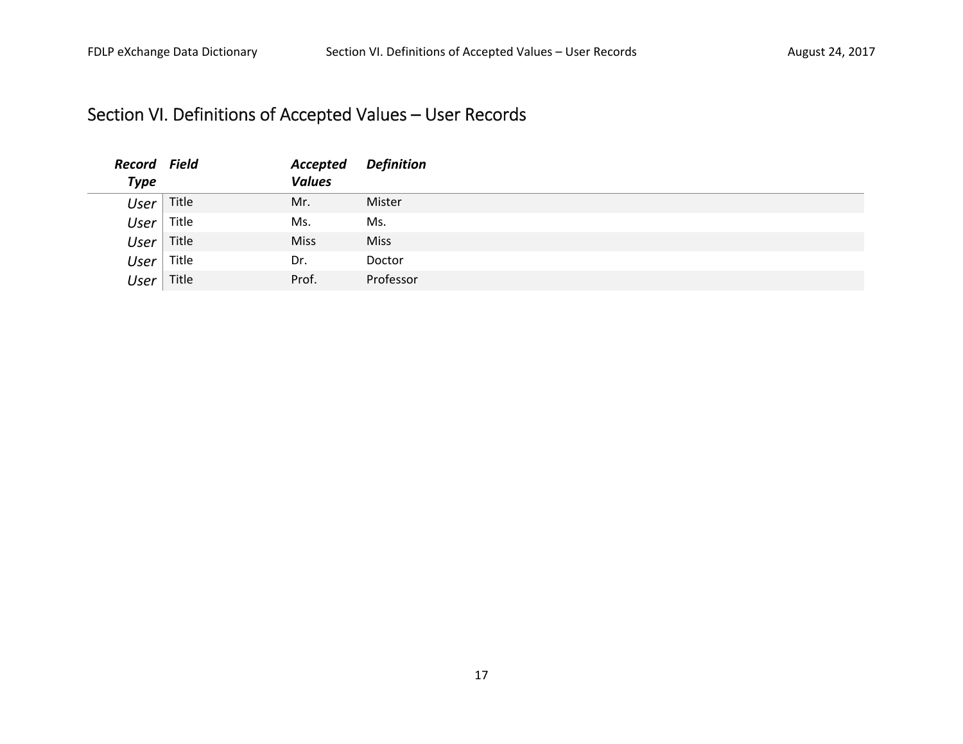## Section VI. Definitions of Accepted Values – User Records

| <b>Record Field</b> |       | Accepted      | Definition  |
|---------------------|-------|---------------|-------------|
| <b>Type</b>         |       | <b>Values</b> |             |
| <b>User</b>         | Title | Mr.           | Mister      |
| <b>User</b>         | Title | Ms.           | Ms.         |
| User                | Title | <b>Miss</b>   | <b>Miss</b> |
| <b>User</b>         | Title | Dr.           | Doctor      |
| User                | Title | Prof.         | Professor   |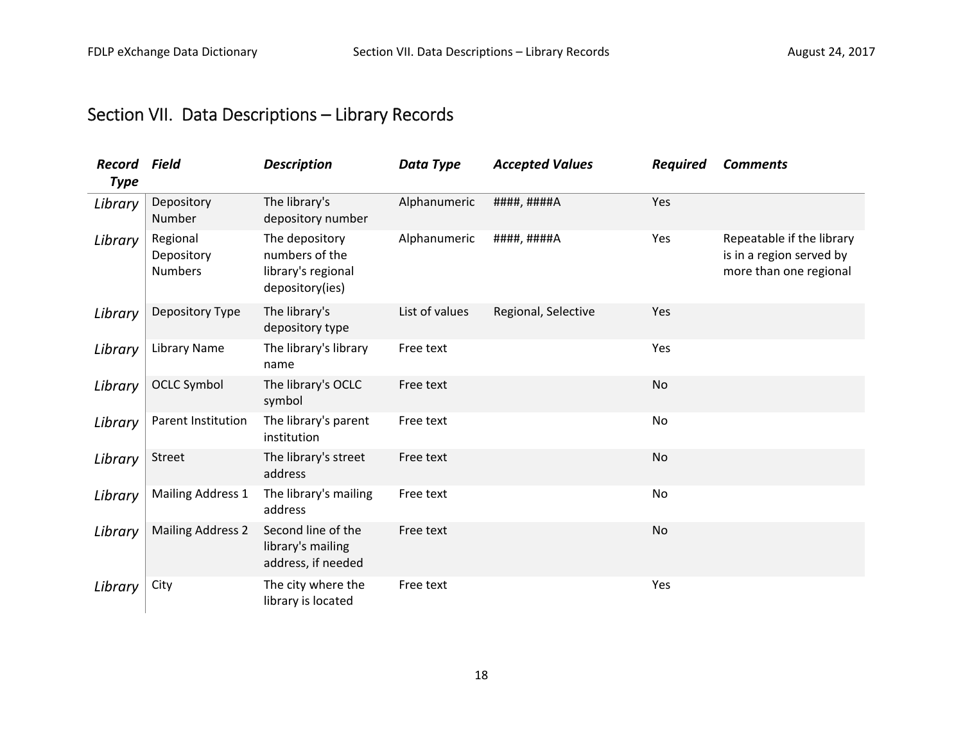## Section VII. Data Descriptions – Library Records

| <b>Record</b><br><b>Type</b> | <b>Field</b>                             | <b>Description</b>                                                        | <b>Data Type</b> | <b>Accepted Values</b> | <b>Required</b> | <b>Comments</b>                                                                 |
|------------------------------|------------------------------------------|---------------------------------------------------------------------------|------------------|------------------------|-----------------|---------------------------------------------------------------------------------|
| Library                      | Depository<br>Number                     | The library's<br>depository number                                        | Alphanumeric     | ####, ####A            | Yes             |                                                                                 |
| Library                      | Regional<br>Depository<br><b>Numbers</b> | The depository<br>numbers of the<br>library's regional<br>depository(ies) | Alphanumeric     | ####, ####A            | Yes             | Repeatable if the library<br>is in a region served by<br>more than one regional |
| Library                      | Depository Type                          | The library's<br>depository type                                          | List of values   | Regional, Selective    | Yes             |                                                                                 |
| Library                      | <b>Library Name</b>                      | The library's library<br>name                                             | Free text        |                        | Yes             |                                                                                 |
| Library                      | <b>OCLC Symbol</b>                       | The library's OCLC<br>symbol                                              | Free text        |                        | No              |                                                                                 |
| Library                      | Parent Institution                       | The library's parent<br>institution                                       | Free text        |                        | No              |                                                                                 |
| Library                      | Street                                   | The library's street<br>address                                           | Free text        |                        | <b>No</b>       |                                                                                 |
| Library                      | <b>Mailing Address 1</b>                 | The library's mailing<br>address                                          | Free text        |                        | No              |                                                                                 |
| Library                      | <b>Mailing Address 2</b>                 | Second line of the<br>library's mailing<br>address, if needed             | Free text        |                        | <b>No</b>       |                                                                                 |
| Library                      | City                                     | The city where the<br>library is located                                  | Free text        |                        | Yes             |                                                                                 |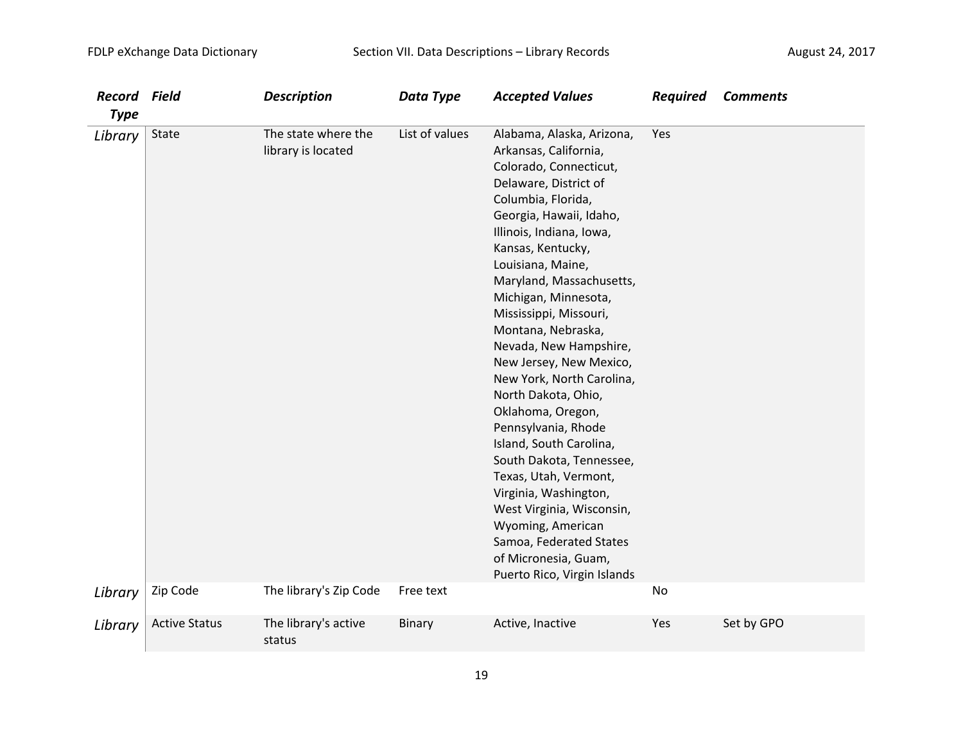| <b>Record</b>      | Field                | <b>Description</b>                                                  | Data Type                   | <b>Accepted Values</b>                                                                                                                                                                                                                                                                                                                                                                                                                                                                                                                                                                                                                                                                                                             | <b>Required</b> | <b>Comments</b> |
|--------------------|----------------------|---------------------------------------------------------------------|-----------------------------|------------------------------------------------------------------------------------------------------------------------------------------------------------------------------------------------------------------------------------------------------------------------------------------------------------------------------------------------------------------------------------------------------------------------------------------------------------------------------------------------------------------------------------------------------------------------------------------------------------------------------------------------------------------------------------------------------------------------------------|-----------------|-----------------|
| <b>Type</b>        |                      |                                                                     |                             |                                                                                                                                                                                                                                                                                                                                                                                                                                                                                                                                                                                                                                                                                                                                    |                 |                 |
| Library<br>Library | State<br>Zip Code    | The state where the<br>library is located<br>The library's Zip Code | List of values<br>Free text | Alabama, Alaska, Arizona,<br>Arkansas, California,<br>Colorado, Connecticut,<br>Delaware, District of<br>Columbia, Florida,<br>Georgia, Hawaii, Idaho,<br>Illinois, Indiana, Iowa,<br>Kansas, Kentucky,<br>Louisiana, Maine,<br>Maryland, Massachusetts,<br>Michigan, Minnesota,<br>Mississippi, Missouri,<br>Montana, Nebraska,<br>Nevada, New Hampshire,<br>New Jersey, New Mexico,<br>New York, North Carolina,<br>North Dakota, Ohio,<br>Oklahoma, Oregon,<br>Pennsylvania, Rhode<br>Island, South Carolina,<br>South Dakota, Tennessee,<br>Texas, Utah, Vermont,<br>Virginia, Washington,<br>West Virginia, Wisconsin,<br>Wyoming, American<br>Samoa, Federated States<br>of Micronesia, Guam,<br>Puerto Rico, Virgin Islands | Yes<br>No       |                 |
| Library            | <b>Active Status</b> | The library's active                                                | Binary                      | Active, Inactive                                                                                                                                                                                                                                                                                                                                                                                                                                                                                                                                                                                                                                                                                                                   | Yes             | Set by GPO      |
|                    |                      | status                                                              |                             |                                                                                                                                                                                                                                                                                                                                                                                                                                                                                                                                                                                                                                                                                                                                    |                 |                 |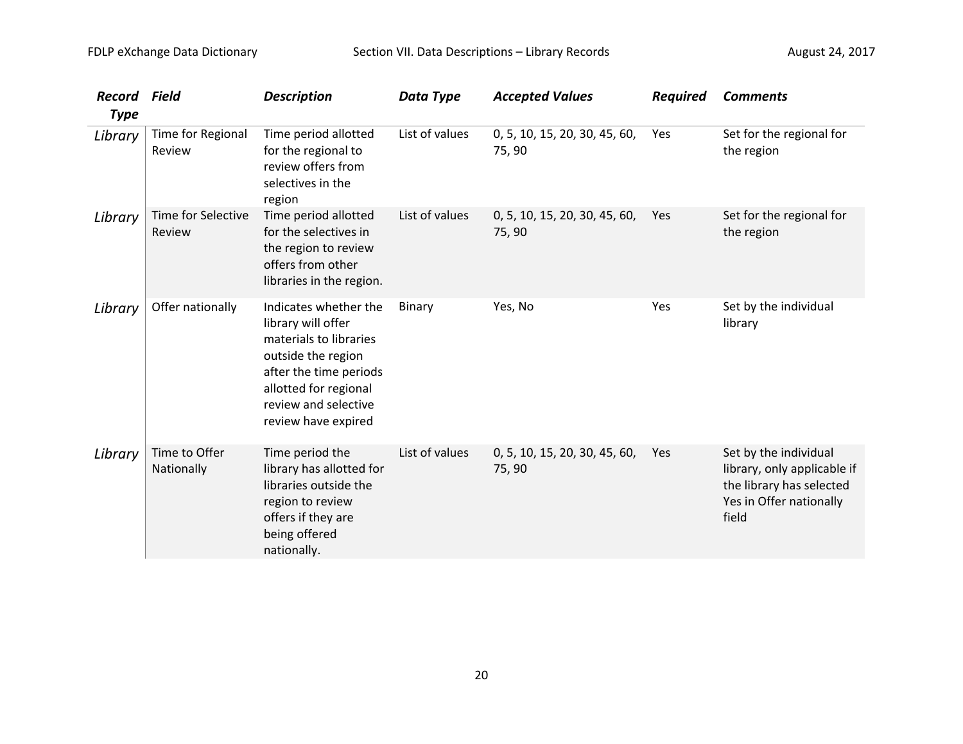| <b>Record</b><br><b>Type</b> | Field                        | <b>Description</b>                                                                                                                                                                            | Data Type      | <b>Accepted Values</b>                  | <b>Required</b> | <b>Comments</b>                                                                                                      |
|------------------------------|------------------------------|-----------------------------------------------------------------------------------------------------------------------------------------------------------------------------------------------|----------------|-----------------------------------------|-----------------|----------------------------------------------------------------------------------------------------------------------|
| Library                      | Time for Regional<br>Review  | Time period allotted<br>for the regional to<br>review offers from<br>selectives in the<br>region                                                                                              | List of values | 0, 5, 10, 15, 20, 30, 45, 60,<br>75,90  | Yes             | Set for the regional for<br>the region                                                                               |
| Library                      | Time for Selective<br>Review | Time period allotted<br>for the selectives in<br>the region to review<br>offers from other<br>libraries in the region.                                                                        | List of values | 0, 5, 10, 15, 20, 30, 45, 60,<br>75, 90 | Yes             | Set for the regional for<br>the region                                                                               |
| Library                      | Offer nationally             | Indicates whether the<br>library will offer<br>materials to libraries<br>outside the region<br>after the time periods<br>allotted for regional<br>review and selective<br>review have expired | <b>Binary</b>  | Yes, No                                 | Yes             | Set by the individual<br>library                                                                                     |
| Library                      | Time to Offer<br>Nationally  | Time period the<br>library has allotted for<br>libraries outside the<br>region to review<br>offers if they are<br>being offered<br>nationally.                                                | List of values | 0, 5, 10, 15, 20, 30, 45, 60,<br>75, 90 | Yes             | Set by the individual<br>library, only applicable if<br>the library has selected<br>Yes in Offer nationally<br>field |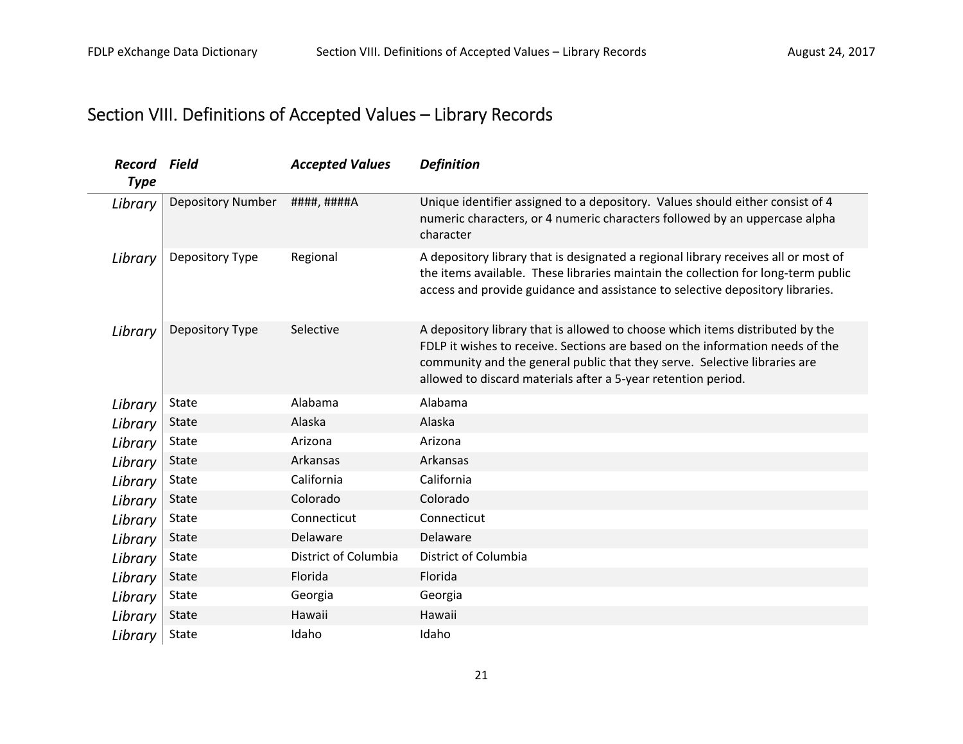## Section VIII. Definitions of Accepted Values – Library Records

| Record<br><b>Type</b> | Field                    | <b>Accepted Values</b> | <b>Definition</b>                                                                                                                                                                                                                                                                                            |
|-----------------------|--------------------------|------------------------|--------------------------------------------------------------------------------------------------------------------------------------------------------------------------------------------------------------------------------------------------------------------------------------------------------------|
| Library               | <b>Depository Number</b> | ####, ####A            | Unique identifier assigned to a depository. Values should either consist of 4<br>numeric characters, or 4 numeric characters followed by an uppercase alpha<br>character                                                                                                                                     |
| Library               | Depository Type          | Regional               | A depository library that is designated a regional library receives all or most of<br>the items available. These libraries maintain the collection for long-term public<br>access and provide guidance and assistance to selective depository libraries.                                                     |
| Library               | Depository Type          | Selective              | A depository library that is allowed to choose which items distributed by the<br>FDLP it wishes to receive. Sections are based on the information needs of the<br>community and the general public that they serve. Selective libraries are<br>allowed to discard materials after a 5-year retention period. |
| Library               | <b>State</b>             | Alabama                | Alabama                                                                                                                                                                                                                                                                                                      |
| Library               | <b>State</b>             | Alaska                 | Alaska                                                                                                                                                                                                                                                                                                       |
| Library               | State                    | Arizona                | Arizona                                                                                                                                                                                                                                                                                                      |
| Library               | <b>State</b>             | Arkansas               | Arkansas                                                                                                                                                                                                                                                                                                     |
| Library               | State                    | California             | California                                                                                                                                                                                                                                                                                                   |
| Library               | <b>State</b>             | Colorado               | Colorado                                                                                                                                                                                                                                                                                                     |
| Library               | State                    | Connecticut            | Connecticut                                                                                                                                                                                                                                                                                                  |
| Library               | <b>State</b>             | Delaware               | Delaware                                                                                                                                                                                                                                                                                                     |
| Library               | State                    | District of Columbia   | District of Columbia                                                                                                                                                                                                                                                                                         |
| Library               | <b>State</b>             | Florida                | Florida                                                                                                                                                                                                                                                                                                      |
| Library               | State                    | Georgia                | Georgia                                                                                                                                                                                                                                                                                                      |
| Library               | <b>State</b>             | Hawaii                 | Hawaii                                                                                                                                                                                                                                                                                                       |
| Library               | State                    | Idaho                  | Idaho                                                                                                                                                                                                                                                                                                        |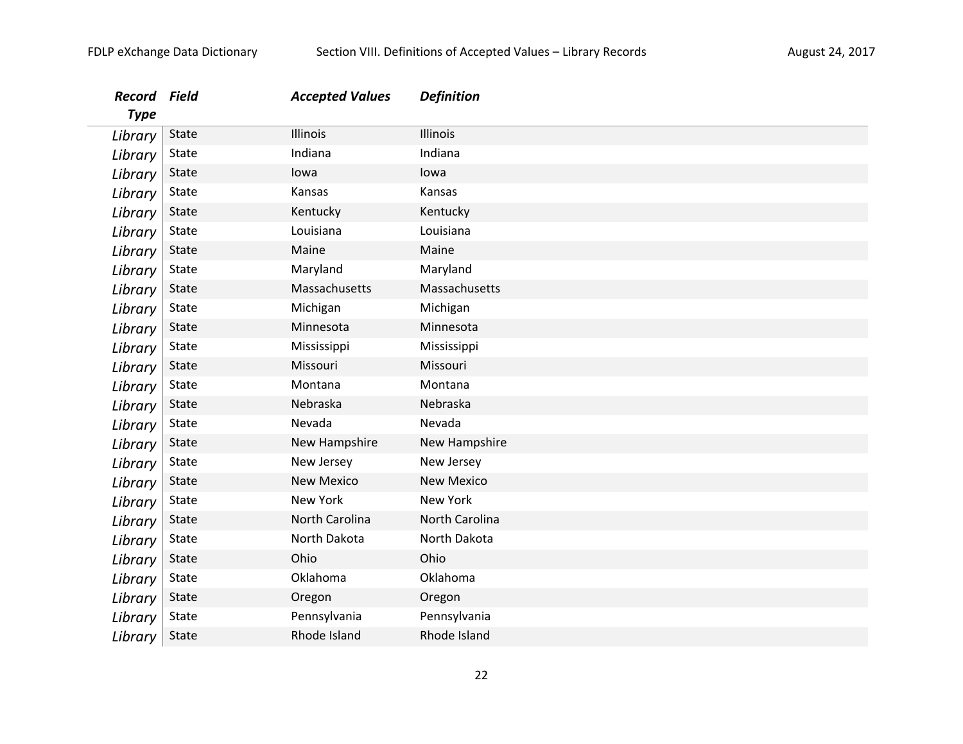| Record<br><b>Type</b> | Field        | <b>Accepted Values</b> | <b>Definition</b> |
|-----------------------|--------------|------------------------|-------------------|
| Library               | State        | Illinois               | Illinois          |
| Library               | State        | Indiana                | Indiana           |
| Library               | State        | lowa                   | lowa              |
| Library               | State        | Kansas                 | Kansas            |
| Library               | State        | Kentucky               | Kentucky          |
| Library               | State        | Louisiana              | Louisiana         |
| Library               | State        | Maine                  | Maine             |
| Library               | State        | Maryland               | Maryland          |
| Library               | State        | Massachusetts          | Massachusetts     |
| Library               | State        | Michigan               | Michigan          |
| Library               | State        | Minnesota              | Minnesota         |
| Library               | State        | Mississippi            | Mississippi       |
| Library               | State        | Missouri               | Missouri          |
| Library               | State        | Montana                | Montana           |
| Library               | State        | Nebraska               | Nebraska          |
| Library               | State        | Nevada                 | Nevada            |
| Library               | State        | New Hampshire          | New Hampshire     |
| Library               | State        | New Jersey             | New Jersey        |
| Library               | State        | <b>New Mexico</b>      | <b>New Mexico</b> |
| Library               | State        | New York               | <b>New York</b>   |
| Library               | State        | North Carolina         | North Carolina    |
| Library               | State        | North Dakota           | North Dakota      |
| Library               | State        | Ohio                   | Ohio              |
| Library               | State        | Oklahoma               | Oklahoma          |
| Library               | <b>State</b> | Oregon                 | Oregon            |
| Library               | State        | Pennsylvania           | Pennsylvania      |
| Library               | State        | Rhode Island           | Rhode Island      |